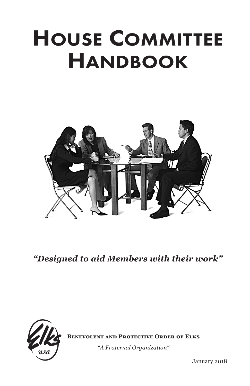# House Committee **HANDBOOK**



*"Designed to aid Members with their work"*



**Benevolent and Protective Order of Elks**

*"A Fraternal Organization"*

January 2018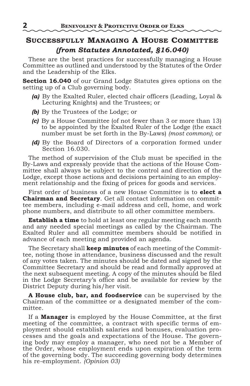# **Successfully Managing A House Committee** *(from Statutes Annotated, §16.040)*

These are the best practices for successfully managing a House Committee as outlined and understood by the Statutes of the Order and the Leadership of the Elks.

**Section 16.040** of our Grand Lodge Statutes gives options on the setting up of a Club governing body.

- *(a)* By the Exalted Ruler, elected chair officers (Leading, Loyal & Lecturing Knights) and the Trustees; or
- *(b)* By the Trustees of the Lodge; or
- *(c)* By a House Committee (of not fewer than 3 or more than 13) to be appointed by the Exalted Ruler of the Lodge (the exact number must be set forth in the By-Laws) *(most common)*; or
- *(d)* By the Board of Directors of a corporation formed under Section 16.030.

The method of supervision of the Club must be specified in the By-Laws and expressly provide that the actions of the House Committee shall always be subject to the control and direction of the Lodge, except those actions and decisions pertaining to an employment relationship and the fixing of prices for goods and services.

First order of business of a new House Committee is to **elect a Chairman and Secretary**. Get all contact information on committee members, including e-mail address and cell, home, and work phone numbers, and distribute to all other committee members.

**Establish a time** to hold at least one regular meeting each month and any needed special meetings as called by the Chairman. The Exalted Ruler and all committee members should be notified in advance of each meeting and provided an agenda.

The Secretary shall **keep minutes** of each meeting of the Committee, noting those in attendance, business discussed and the result of any votes taken. The minutes should be dated and signed by the Committee Secretary and should be read and formally approved at the next subsequent meeting. A copy of the minutes should be filed in the Lodge Secretary's office and be available for review by the District Deputy during his/her visit.

**A House club, bar, and foodservice** can be supervised by the Chairman of the committee or a designated member of the committee.

If a **Manager** is employed by the House Committee, at the first meeting of the committee, a contract with specific terms of employment should establish salaries and bonuses, evaluation processes and the goals and expectations of the House. The governing body may employ a manager, who need not be a Member of the Order, whose employment ends upon expiration of the term of the governing body. The succeeding governing body determines his re-employment. *(Opinion 03)*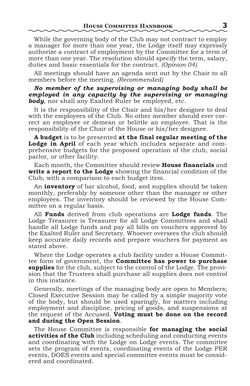While the governing body of the Club may not contract to employ a manager for more than one year, the Lodge itself may expressly authorize a contract of employment by the Committee for a term of more than one year. The resolution should specify the term, salary, duties and basic essentials for the contract. *(Opinion 04)*

All meetings should have an agenda sent out by the Chair to all members before the meeting. *(Recommended)*

*No member of the supervising or managing body shall be employed in any capacity by the supervising or managing body*, nor shall any Exalted Ruler be employed, etc.

It is the responsibility of the Chair and his/her designee to deal with the employees of the Club. No other member should ever correct an employee or demean or belittle an employee. That is the responsibility of the Chair of the House or his/her designee.

**A budget** is to be presented **at the final regular meeting of the Lodge in April** of each year which includes separate and comprehensive budgets for the proposed operation of the club, social parlor, or other facility.

Each month, the Committee should review **House financials** and **write a report to the Lodge** showing the financial condition of the Club, with a comparison to each budget item.

An **inventory** of bar alcohol, food, and supplies should be taken monthly, preferably by someone other than the manager or other employees. The inventory should be reviewed by the House Committee on a regular basis.

All **Funds** derived from club operations are **Lodge funds**. The Lodge Treasurer is Treasurer for all Lodge Committees and shall handle all Lodge funds and pay all bills on vouchers approved by the Exalted Ruler and Secretary. Whoever oversees the club should keep accurate daily records and prepare vouchers for payment as stated above.

Where the Lodge operates a club facility under a House Committee form of government, the **Committee has power to purchase supplies** for the club, subject to the control of the Lodge. The provision that the Trustees shall purchase all supplies does not control in this instance.

Generally, meetings of the managing body are open to Members; Closed Executive Session may be called by a simple majority vote of the body, but should be used sparingly, for matters including employment and discipline, pricing of goods, and suspensions at the request of the Accused. **Voting must be done on the record and during the Open Session**.

The House Committee is responsible **for managing the social activities of the Club** including scheduling and conducting events and coordinating with the Lodge on Lodge events. The committee sets the program of events, coordinating events of the Lodge PER events, DOES events and special committee events must be considered and coordinated.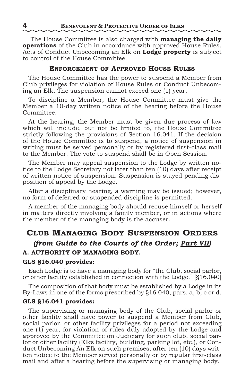The House Committee is also charged with **managing the daily operations** of the Club in accordance with approved House Rules. Acts of Conduct Unbecoming an Elk on **Lodge property** is subject to control of the House Committee.

## **Enforcement of Approved House Rules**

The House Committee has the power to suspend a Member from Club privileges for violation of House Rules or Conduct Unbecoming an Elk. The suspension cannot exceed one (1) year.

To discipline a Member, the House Committee must give the Member a 10-day written notice of the hearing before the House Committee.

At the hearing, the Member must be given due process of law which will include, but not be limited to, the House Committee strictly following the provisions of Section 16.041. If the decision of the House Committee is to suspend, a notice of suspension in writing must be served personally or by registered first-class mail to the Member. The vote to suspend shall be in Open Session.

The Member may appeal suspension to the Lodge by written notice to the Lodge Secretary not later than ten (10) days after receipt of written notice of suspension. Suspension is stayed pending disposition of appeal by the Lodge.

After a disciplinary hearing, a warning may be issued; however, no form of deferred or suspended discipline is permitted.

A member of the managing body should recuse himself or herself in matters directly involving a family member, or in actions where the member of the managing body is the accuser.

# **Club Managing Body Suspension Orders** *(from Guide to the Courts of the Order; Part VII)* **A. AUTHORITY OF MANAGING BODY.**

#### **GLS §16.040 provides:**

Each Lodge is to have a managing body for "the Club, social parlor, or other facility established in connection with the Lodge." [§16.040]

The composition of that body must be established by a Lodge in its By-Laws in one of the forms prescribed by §16.040, pars. a, b, c or d.

## **GLS §16.041 provides:**

The supervising or managing body of the Club, social parlor or other facility shall have power to suspend a Member from Club, social parlor, or other facility privileges for a period not exceeding one (1) year, for violation of rules duly adopted by the Lodge and approved by the Committee on Judiciary for such club, social parlor or other facility (Elks facility, building, parking lot, etc.), or Conduct Unbecoming An Elk on such premises, after ten (10) days written notice to the Member served personally or by regular first-class mail and after a hearing before the supervising or managing body.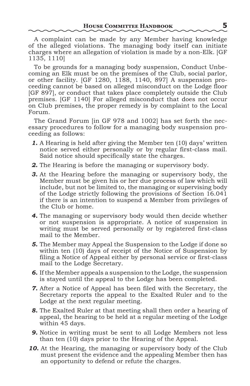A complaint can be made by any Member having knowledge of the alleged violations. The managing body itself can initiate charges where an allegation of violation is made by a non-Elk. [GF 1135, 1110]

To be grounds for a managing body suspension, Conduct Unbecoming an Elk must be on the premises of the Club, social parlor, or other facility. [GF 1280, 1188, 1140, 897] A suspension proceeding cannot be based on alleged misconduct on the Lodge floor [GF 897], or conduct that takes place completely outside the Club premises. [GF 1140] For alleged misconduct that does not occur on Club premises, the proper remedy is by complaint to the Local Forum.

The Grand Forum [in GF 978 and 1002] has set forth the necessary procedures to follow for a managing body suspension proceeding as follows:

- *1.* A Hearing is held after giving the Member ten (10) days' written notice served either personally or by regular first-class mail. Said notice should specifically state the charges.
- *2.* The Hearing is before the managing or supervisory body.
- *3.* At the Hearing before the managing or supervisory body, the Member must be given his or her due process of law which will include, but not be limited to, the managing or supervising body of the Lodge strictly following the provisions of Section 16.041 if there is an intention to suspend a Member from privileges of the Club or home.
- *4.* The managing or supervisory body would then decide whether or not suspension is appropriate. A notice of suspension in writing must be served personally or by registered first-class mail to the Member.
- *5.* The Member may Appeal the Suspension to the Lodge if done so within ten (10) days of receipt of the Notice of Suspension by filing a Notice of Appeal either by personal service or first-class mail to the Lodge Secretary.
- *6.* If the Member appeals a suspension to the Lodge, the suspension is stayed until the appeal to the Lodge has been completed.
- *7.* After a Notice of Appeal has been filed with the Secretary, the Secretary reports the appeal to the Exalted Ruler and to the Lodge at the next regular meeting.
- *8.* The Exalted Ruler at that meeting shall then order a hearing of appeal, the hearing to be held at a regular meeting of the Lodge within 45 days.
- *9.* Notice in writing must be sent to all Lodge Members not less than ten (10) days prior to the Hearing of the Appeal.
- *10.* At the Hearing, the managing or supervisory body of the Club must present the evidence and the appealing Member then has an opportunity to defend or refute the charges.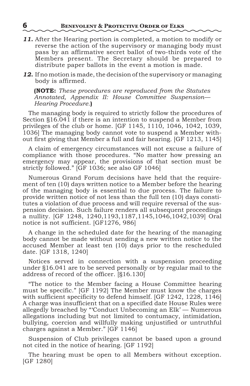- *11.* After the Hearing portion is completed, a motion to modify or reverse the action of the supervisory or managing body must pass by an affirmative secret ballot of two-thirds vote of the Members present. The Secretary should be prepared to distribute paper ballots in the event a motion is made.
- *12.* If no motion is made, the decision of the supervisory or managing body is affirmed.

**(NOTE:** *These procedures are reproduced from the Statutes Annotated, Appendix II: House Committee Suspension— Hearing Procedure.***)**

The managing body is required to strictly follow the procedures of Section §16.041 if there is an intention to suspend a Member from privileges of the club or home. [GF 1145, 1110, 1046, 1042, 1039, 1036] The managing body cannot vote to suspend a Member without first giving that Member a full and fair hearing. [GF 1213, 1145]

A claim of emergency circumstances will not excuse a failure of compliance with those procedures. "No matter how pressing an emergency may appear, the provisions of that section must be strictly followed." [GF 1036; see also GF 1046]

Numerous Grand Forum decisions have held that the requirement of ten (10) days written notice to a Member before the hearing of the managing body is essential to due process. The failure to provide written notice of not less than the full ten (10) days constitutes a violation of due process and will require reversal of the suspension decision. Such failure renders all subsequent proceedings a nullity. [GF 1248, 1240,1193,1187,1145,1046,1042,1039] Oral notice is not sufficient. [GF1276, 986]

A change in the scheduled date for the hearing of the managing body cannot be made without sending a new written notice to the accused Member at least ten (10) days prior to the rescheduled date. [GF 1318, 1240]

Notices served in connection with a suspension proceeding under §16.041 are to be served personally or by regular mail to the address of record of the officer. [§16.130]

"The notice to the Member facing a House Committee hearing must be specific." [GF 1192] The Member must know the charges with sufficient specificity to defend himself. [GF 1242, 1228, 1146] A charge was insufficient that on a specified date House Rules were allegedly breached by "'Conduct Unbecoming an Elk' — Numerous allegations including but not limited to contumacy, intimidation, bullying, coercion and willfully making unjustified or untruthful charges against a Member." [GF 1146]

Suspension of Club privileges cannot be based upon a ground not cited in the notice of hearing. [GF 1192]

The hearing must be open to all Members without exception. [GF 1280]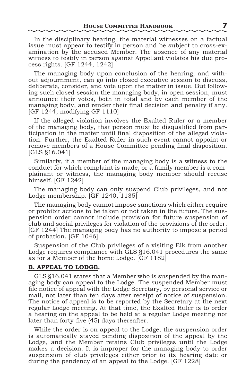In the disciplinary hearing, the material witnesses on a factual issue must appear to testify in person and be subject to cross-examination by the accused Member. The absence of any material witness to testify in person against Appellant violates his due process rights. [GF 1244, 1242]

The managing body upon conclusion of the hearing, and without adjournment, can go into closed executive session to discuss, deliberate, consider, and vote upon the matter in issue. But following such closed session the managing body, in open session, must announce their votes, both in total and by each member of the managing body, and render their final decision and penalty if any. [GF 1244, modifying GF 1110]

If the alleged violation involves the Exalted Ruler or a member of the managing body, that person must be disqualified from participation in the matter until final disposition of the alleged violation. Further, the Exalted Ruler in such event cannot appoint or remove members of a House Committee pending final disposition. [GLS §16.041]

Similarly, if a member of the managing body is a witness to the conduct for which complaint is made, or a family member is a complainant or witness, the managing body member should recuse himself. [GF 1242]

The managing body can only suspend Club privileges, and not Lodge membership. [GF 1240, 1135]

The managing body cannot impose sanctions which either require or prohibit actions to be taken or not taken in the future. The suspension order cannot include provision for future suspension of club and social privileges for violation of the provisions of the order. [GF 1244] The managing body has no authority to impose a period of probation. [GF 1046]

Suspension of the Club privileges of a visiting Elk from another Lodge requires compliance with GLS §16.041 procedures the same as for a Member of the home Lodge. [GF 1182]

## **B. APPEAL TO LODGE.**

GLS §16.041 states that a Member who is suspended by the managing body can appeal to the Lodge. The suspended Member must file notice of appeal with the Lodge Secretary, by personal service or mail, not later than ten days after receipt of notice of suspension. The notice of appeal is to be reported by the Secretary at the next regular Lodge meeting. At that time, the Exalted Ruler is to order a hearing on the appeal to be held at a regular Lodge meeting not later than forty-five (45) days thereafter.

While the order is on appeal to the Lodge, the suspension order is automatically stayed pending disposition of the appeal by the Lodge, and the Member retains Club privileges until the Lodge makes a decision. It is improper for the managing body to order suspension of club privileges either prior to its hearing date or during the pendency of an appeal to the Lodge. [GF 1228]